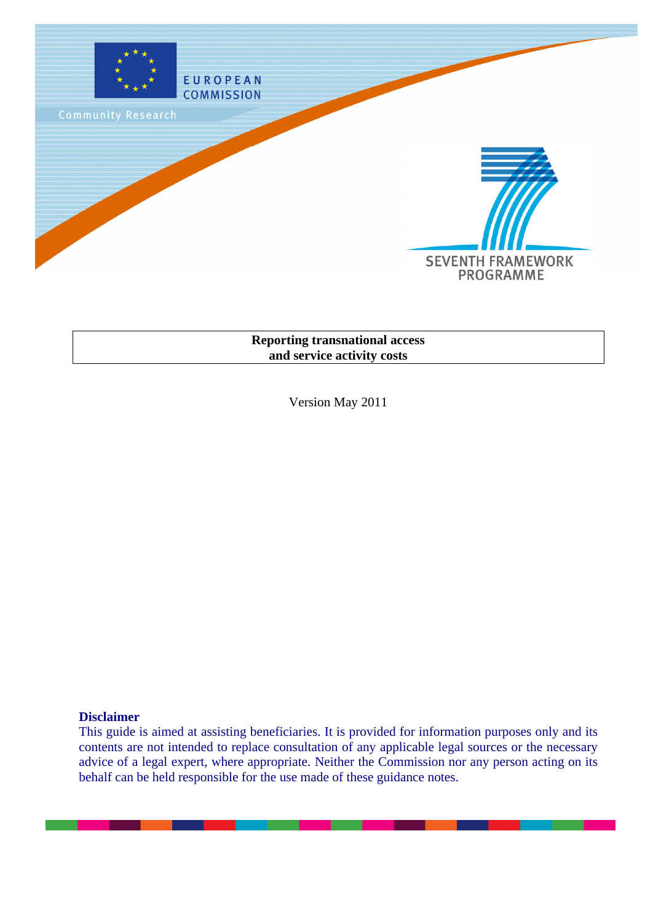

## **Reporting transnational access and service activity costs**

Version May 2011

## **Disclaimer**

This guide is aimed at assisting beneficiaries. It is provided for information purposes only and its contents are not intended to replace consultation of any applicable legal sources or the necessary advice of a legal expert, where appropriate. Neither the Commission nor any person acting on its behalf can be held responsible for the use made of these guidance notes.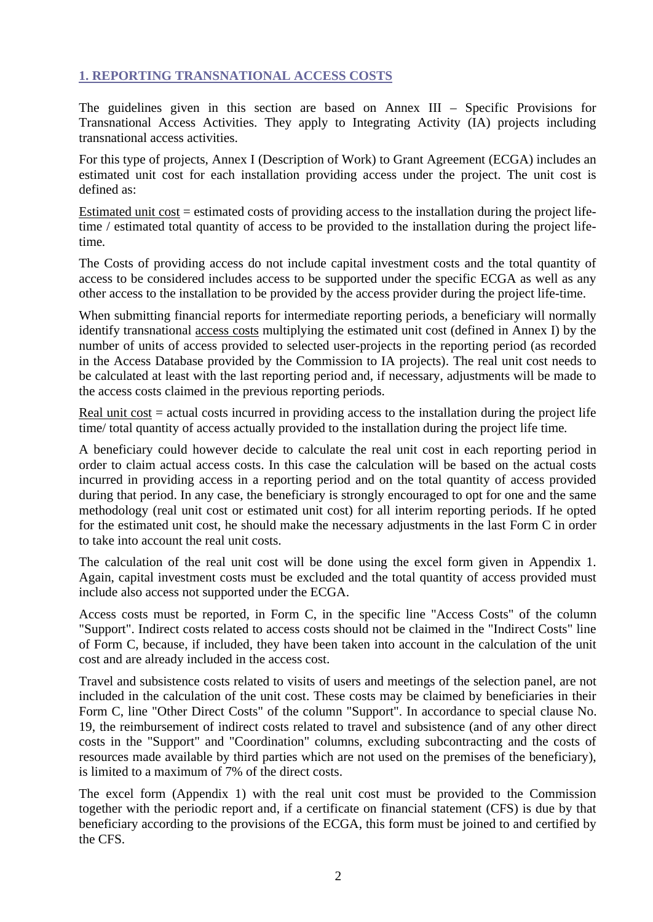# **1. REPORTING TRANSNATIONAL ACCESS COSTS**

The guidelines given in this section are based on Annex III – Specific Provisions for Transnational Access Activities. They apply to Integrating Activity (IA) projects including transnational access activities.

For this type of projects, Annex I (Description of Work) to Grant Agreement (ECGA) includes an estimated unit cost for each installation providing access under the project. The unit cost is defined as:

Estimated unit cost = estimated costs of providing access to the installation during the project lifetime / estimated total quantity of access to be provided to the installation during the project lifetime*.*

The Costs of providing access do not include capital investment costs and the total quantity of access to be considered includes access to be supported under the specific ECGA as well as any other access to the installation to be provided by the access provider during the project life-time.

When submitting financial reports for intermediate reporting periods, a beneficiary will normally identify transnational access costs multiplying the estimated unit cost (defined in Annex I) by the number of units of access provided to selected user-projects in the reporting period (as recorded in the Access Database provided by the Commission to IA projects). The real unit cost needs to be calculated at least with the last reporting period and, if necessary, adjustments will be made to the access costs claimed in the previous reporting periods.

Real unit  $cost = actual costs$  incurred in providing access to the installation during the project life time/ total quantity of access actually provided to the installation during the project life time*.*

A beneficiary could however decide to calculate the real unit cost in each reporting period in order to claim actual access costs. In this case the calculation will be based on the actual costs incurred in providing access in a reporting period and on the total quantity of access provided during that period. In any case, the beneficiary is strongly encouraged to opt for one and the same methodology (real unit cost or estimated unit cost) for all interim reporting periods. If he opted for the estimated unit cost, he should make the necessary adjustments in the last Form C in order to take into account the real unit costs.

The calculation of the real unit cost will be done using the excel form given in Appendix 1. Again, capital investment costs must be excluded and the total quantity of access provided must include also access not supported under the ECGA.

Access costs must be reported, in Form C, in the specific line "Access Costs" of the column "Support". Indirect costs related to access costs should not be claimed in the "Indirect Costs" line of Form C, because, if included, they have been taken into account in the calculation of the unit cost and are already included in the access cost.

Travel and subsistence costs related to visits of users and meetings of the selection panel, are not included in the calculation of the unit cost. These costs may be claimed by beneficiaries in their Form C, line "Other Direct Costs" of the column "Support". In accordance to special clause No. 19, the reimbursement of indirect costs related to travel and subsistence (and of any other direct costs in the "Support" and "Coordination" columns, excluding subcontracting and the costs of resources made available by third parties which are not used on the premises of the beneficiary), is limited to a maximum of 7% of the direct costs.

The excel form (Appendix 1) with the real unit cost must be provided to the Commission together with the periodic report and, if a certificate on financial statement (CFS) is due by that beneficiary according to the provisions of the ECGA, this form must be joined to and certified by the CFS.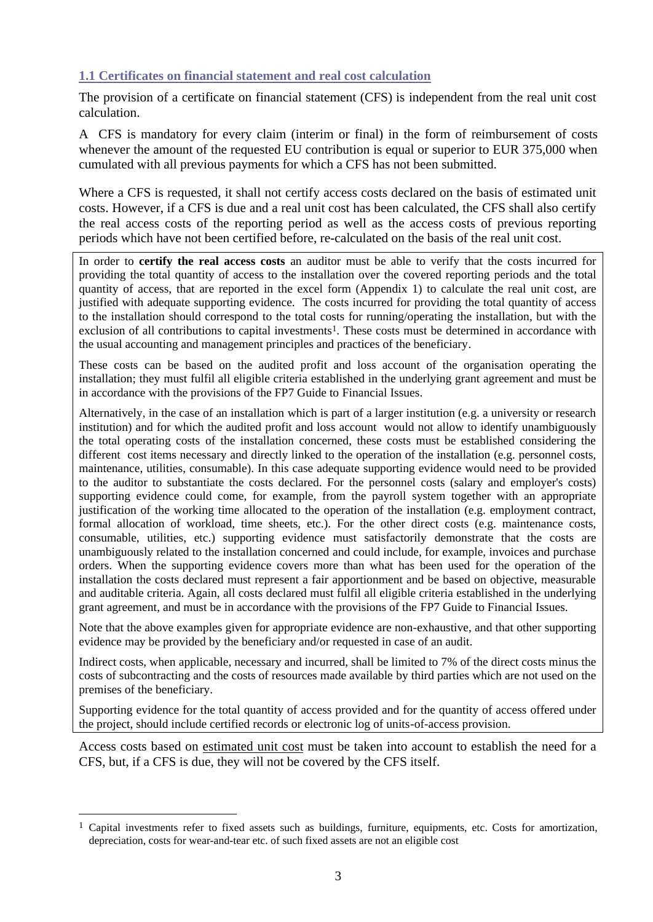# **1.1 Certificates on financial statement and real cost calculation**

The provision of a certificate on financial statement (CFS) is independent from the real unit cost calculation.

A CFS is mandatory for every claim (interim or final) in the form of reimbursement of costs whenever the amount of the requested EU contribution is equal or superior to EUR 375,000 when cumulated with all previous payments for which a CFS has not been submitted.

Where a CFS is requested, it shall not certify access costs declared on the basis of estimated unit costs. However, if a CFS is due and a real unit cost has been calculated, the CFS shall also certify the real access costs of the reporting period as well as the access costs of previous reporting periods which have not been certified before, re-calculated on the basis of the real unit cost.

In order to **certify the real access costs** an auditor must be able to verify that the costs incurred for providing the total quantity of access to the installation over the covered reporting periods and the total quantity of access, that are reported in the excel form (Appendix 1) to calculate the real unit cost, are justified with adequate supporting evidence. The costs incurred for providing the total quantity of access to the installation should correspond to the total costs for running/operating the installation, but with the exclusion of all contributions to capital investments<sup>1</sup>. These costs must be determined in accordance with the usual accounting and management principles and practices of the beneficiary.

These costs can be based on the audited profit and loss account of the organisation operating the installation; they must fulfil all eligible criteria established in the underlying grant agreement and must be in accordance with the provisions of the FP7 Guide to Financial Issues.

Alternatively, in the case of an installation which is part of a larger institution (e.g. a university or research institution) and for which the audited profit and loss account would not allow to identify unambiguously the total operating costs of the installation concerned, these costs must be established considering the different cost items necessary and directly linked to the operation of the installation (e.g. personnel costs, maintenance, utilities, consumable). In this case adequate supporting evidence would need to be provided to the auditor to substantiate the costs declared. For the personnel costs (salary and employer's costs) supporting evidence could come, for example, from the payroll system together with an appropriate justification of the working time allocated to the operation of the installation (e.g. employment contract, formal allocation of workload, time sheets, etc.). For the other direct costs (e.g. maintenance costs, consumable, utilities, etc.) supporting evidence must satisfactorily demonstrate that the costs are unambiguously related to the installation concerned and could include, for example, invoices and purchase orders. When the supporting evidence covers more than what has been used for the operation of the installation the costs declared must represent a fair apportionment and be based on objective, measurable and auditable criteria. Again, all costs declared must fulfil all eligible criteria established in the underlying grant agreement, and must be in accordance with the provisions of the FP7 Guide to Financial Issues.

Note that the above examples given for appropriate evidence are non-exhaustive, and that other supporting evidence may be provided by the beneficiary and/or requested in case of an audit.

Indirect costs, when applicable, necessary and incurred, shall be limited to 7% of the direct costs minus the costs of subcontracting and the costs of resources made available by third parties which are not used on the premises of the beneficiary.

Supporting evidence for the total quantity of access provided and for the quantity of access offered under the project, should include certified records or electronic log of units-of-access provision.

Access costs based on estimated unit cost must be taken into account to establish the need for a CFS, but, if a CFS is due, they will not be covered by the CFS itself.

 $\overline{a}$ 

 $1$  Capital investments refer to fixed assets such as buildings, furniture, equipments, etc. Costs for amortization, depreciation, costs for wear-and-tear etc. of such fixed assets are not an eligible cost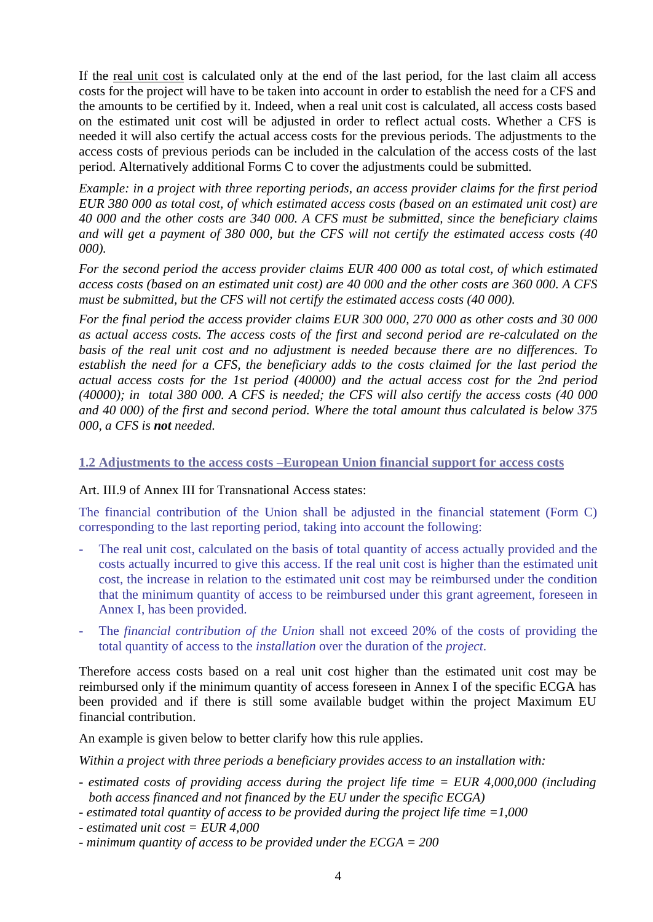If the real unit cost is calculated only at the end of the last period, for the last claim all access costs for the project will have to be taken into account in order to establish the need for a CFS and the amounts to be certified by it. Indeed, when a real unit cost is calculated, all access costs based on the estimated unit cost will be adjusted in order to reflect actual costs. Whether a CFS is needed it will also certify the actual access costs for the previous periods. The adjustments to the access costs of previous periods can be included in the calculation of the access costs of the last period. Alternatively additional Forms C to cover the adjustments could be submitted.

*Example: in a project with three reporting periods, an access provider claims for the first period EUR 380 000 as total cost, of which estimated access costs (based on an estimated unit cost) are 40 000 and the other costs are 340 000. A CFS must be submitted, since the beneficiary claims and will get a payment of 380 000, but the CFS will not certify the estimated access costs (40 000).* 

*For the second period the access provider claims EUR 400 000 as total cost, of which estimated access costs (based on an estimated unit cost) are 40 000 and the other costs are 360 000. A CFS must be submitted, but the CFS will not certify the estimated access costs (40 000).* 

*For the final period the access provider claims EUR 300 000, 270 000 as other costs and 30 000 as actual access costs. The access costs of the first and second period are re-calculated on the basis of the real unit cost and no adjustment is needed because there are no differences. To establish the need for a CFS, the beneficiary adds to the costs claimed for the last period the actual access costs for the 1st period (40000) and the actual access cost for the 2nd period (40000); in total 380 000. A CFS is needed; the CFS will also certify the access costs (40 000 and 40 000) of the first and second period. Where the total amount thus calculated is below 375 000, a CFS is not needed.*

## **1.2 Adjustments to the access costs –European Union financial support for access costs**

## Art. III.9 of Annex III for Transnational Access states:

The financial contribution of the Union shall be adjusted in the financial statement (Form C) corresponding to the last reporting period, taking into account the following:

- The real unit cost, calculated on the basis of total quantity of access actually provided and the costs actually incurred to give this access. If the real unit cost is higher than the estimated unit cost, the increase in relation to the estimated unit cost may be reimbursed under the condition that the minimum quantity of access to be reimbursed under this grant agreement, foreseen in Annex I, has been provided.
- The *financial contribution of the Union* shall not exceed 20% of the costs of providing the total quantity of access to the *installation* over the duration of the *project*.

Therefore access costs based on a real unit cost higher than the estimated unit cost may be reimbursed only if the minimum quantity of access foreseen in Annex I of the specific ECGA has been provided and if there is still some available budget within the project Maximum EU financial contribution.

An example is given below to better clarify how this rule applies.

*Within a project with three periods a beneficiary provides access to an installation with:*

- *estimated costs of providing access during the project life time = EUR 4,000,000 (including both access financed and not financed by the EU under the specific ECGA)*
- *estimated total quantity of access to be provided during the project life time =1,000*
- *estimated unit cost = EUR 4,000*
- *minimum quantity of access to be provided under the ECGA = 200*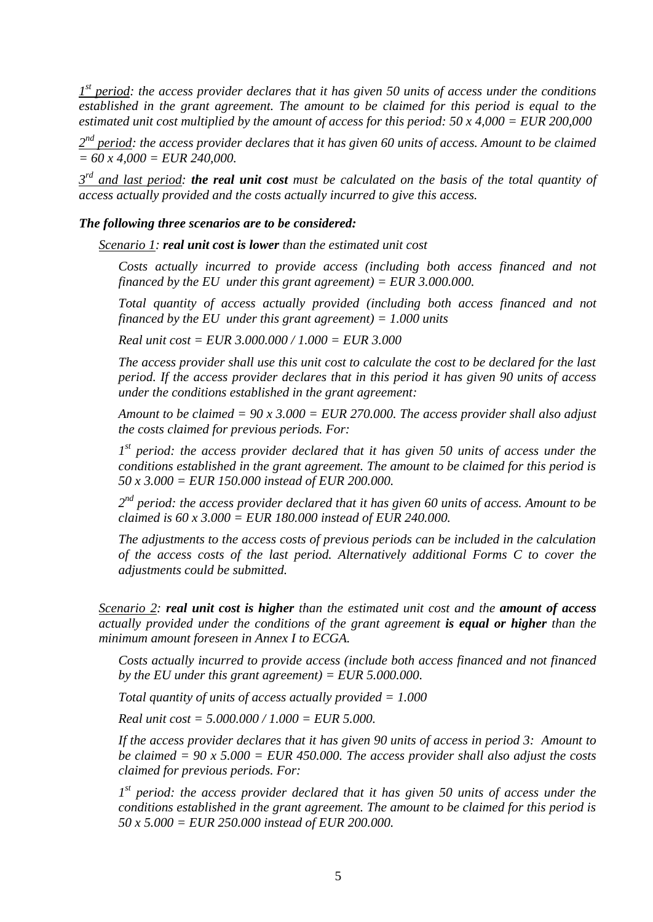*1 st period: the access provider declares that it has given 50 units of access under the conditions established in the grant agreement. The amount to be claimed for this period is equal to the estimated unit cost multiplied by the amount of access for this period: 50 x 4,000 = EUR 200,000*

*2 nd period: the access provider declares that it has given 60 units of access. Amount to be claimed = 60 x 4,000 = EUR 240,000.*

*3 rd and last period: the real unit cost must be calculated on the basis of the total quantity of access actually provided and the costs actually incurred to give this access.* 

#### *The following three scenarios are to be considered:*

*Scenario 1: real unit cost is lower than the estimated unit cost*

*Costs actually incurred to provide access (including both access financed and not financed by the EU under this grant agreement) = EUR 3.000.000.*

*Total quantity of access actually provided (including both access financed and not financed by the EU under this grant agreement) = 1.000 units*

*Real unit cost = EUR 3.000.000 / 1.000 = EUR 3.000*

*The access provider shall use this unit cost to calculate the cost to be declared for the last period. If the access provider declares that in this period it has given 90 units of access under the conditions established in the grant agreement:*

*Amount to be claimed = 90 x 3.000 = EUR 270.000. The access provider shall also adjust the costs claimed for previous periods. For:*

*1 st period: the access provider declared that it has given 50 units of access under the conditions established in the grant agreement. The amount to be claimed for this period is 50 x 3.000 = EUR 150.000 instead of EUR 200.000.*

*2 nd period: the access provider declared that it has given 60 units of access. Amount to be claimed is 60 x 3.000 = EUR 180.000 instead of EUR 240.000.*

*The adjustments to the access costs of previous periods can be included in the calculation of the access costs of the last period. Alternatively additional Forms C to cover the adjustments could be submitted.*

*Scenario 2: real unit cost is higher than the estimated unit cost and the amount of access actually provided under the conditions of the grant agreement is equal or higher than the minimum amount foreseen in Annex I to ECGA.*

*Costs actually incurred to provide access (include both access financed and not financed by the EU under this grant agreement) = EUR 5.000.000.*

*Total quantity of units of access actually provided = 1.000* 

*Real unit cost = 5.000.000 / 1.000 = EUR 5.000.*

*If the access provider declares that it has given 90 units of access in period 3: Amount to be claimed = 90 x 5.000 = EUR 450.000. The access provider shall also adjust the costs claimed for previous periods. For:*

*1 st period: the access provider declared that it has given 50 units of access under the conditions established in the grant agreement. The amount to be claimed for this period is 50 x 5.000 = EUR 250.000 instead of EUR 200.000.*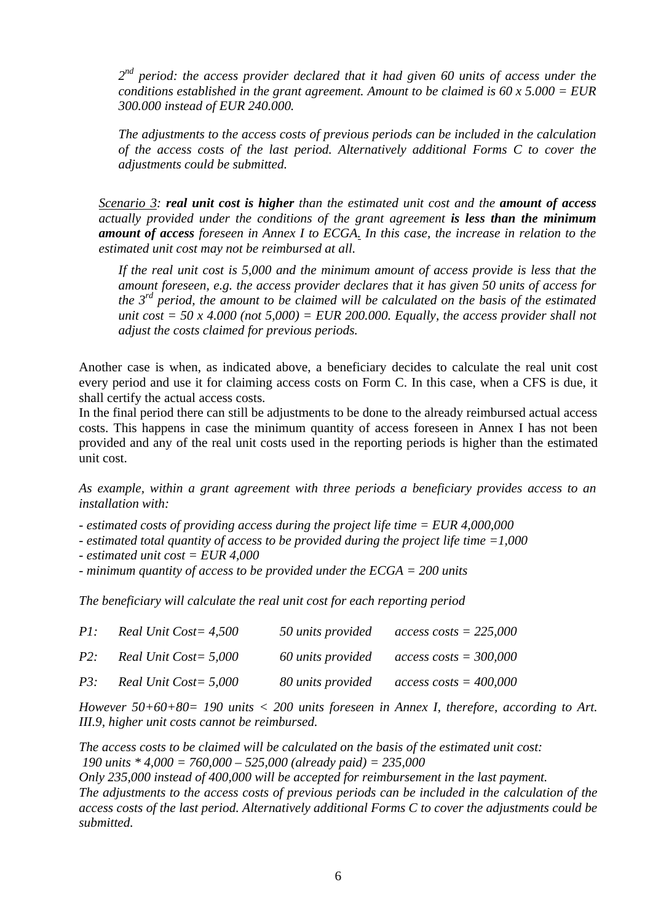*2 nd period: the access provider declared that it had given 60 units of access under the conditions established in the grant agreement. Amount to be claimed is 60 x 5.000 = EUR 300.000 instead of EUR 240.000.*

*The adjustments to the access costs of previous periods can be included in the calculation of the access costs of the last period. Alternatively additional Forms C to cover the adjustments could be submitted.*

*Scenario 3: real unit cost is higher than the estimated unit cost and the amount of access actually provided under the conditions of the grant agreement is less than the minimum amount of access foreseen in Annex I to ECGA. In this case, the increase in relation to the estimated unit cost may not be reimbursed at all.*

*If the real unit cost is 5,000 and the minimum amount of access provide is less that the amount foreseen, e.g. the access provider declares that it has given 50 units of access for the 3rd period, the amount to be claimed will be calculated on the basis of the estimated unit cost = 50 x 4.000 (not 5,000) = EUR 200.000. Equally, the access provider shall not adjust the costs claimed for previous periods.*

Another case is when, as indicated above, a beneficiary decides to calculate the real unit cost every period and use it for claiming access costs on Form C. In this case, when a CFS is due, it shall certify the actual access costs.

In the final period there can still be adjustments to be done to the already reimbursed actual access costs. This happens in case the minimum quantity of access foreseen in Annex I has not been provided and any of the real unit costs used in the reporting periods is higher than the estimated unit cost.

*As example, within a grant agreement with three periods a beneficiary provides access to an installation with:*

- *- estimated costs of providing access during the project life time = EUR 4,000,000*
- *estimated total quantity of access to be provided during the project life time =1,000*
- *estimated unit cost = EUR 4,000*

*- minimum quantity of access to be provided under the ECGA = 200 units*

*The beneficiary will calculate the real unit cost for each reporting period*

| PI:    | Real Unit Cost= 4,500 | 50 units provided | $access \; costs = 225,000$      |
|--------|-----------------------|-------------------|----------------------------------|
| P2:    | Real Unit Cost= 5,000 | 60 units provided | $access \text{ costs} = 300,000$ |
| $P3$ : | Real Unit Cost= 5,000 | 80 units provided | $access \text{ costs} = 400,000$ |

*However 50+60+80= 190 units < 200 units foreseen in Annex I, therefore, according to Art. III.9, higher unit costs cannot be reimbursed.*

*The access costs to be claimed will be calculated on the basis of the estimated unit cost: 190 units \* 4,000 = 760,000 – 525,000 (already paid) = 235,000 Only 235,000 instead of 400,000 will be accepted for reimbursement in the last payment.*

*The adjustments to the access costs of previous periods can be included in the calculation of the access costs of the last period. Alternatively additional Forms C to cover the adjustments could be submitted.*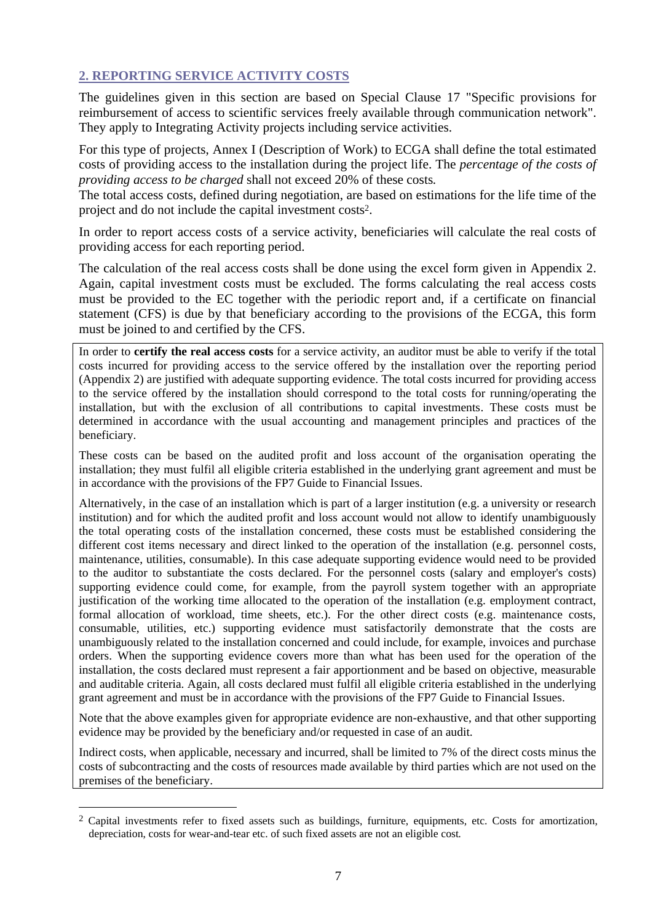# **2. REPORTING SERVICE ACTIVITY COSTS**

The guidelines given in this section are based on Special Clause 17 "Specific provisions for reimbursement of access to scientific services freely available through communication network". They apply to Integrating Activity projects including service activities.

For this type of projects, Annex I (Description of Work) to ECGA shall define the total estimated costs of providing access to the installation during the project life. The *percentage of the costs of providing access to be charged* shall not exceed 20% of these costs*.*

The total access costs, defined during negotiation, are based on estimations for the life time of the project and do not include the capital investment costs 2 .

In order to report access costs of a service activity, beneficiaries will calculate the real costs of providing access for each reporting period.

The calculation of the real access costs shall be done using the excel form given in Appendix 2. Again, capital investment costs must be excluded. The forms calculating the real access costs must be provided to the EC together with the periodic report and, if a certificate on financial statement (CFS) is due by that beneficiary according to the provisions of the ECGA, this form must be joined to and certified by the CFS.

In order to **certify the real access costs** for a service activity, an auditor must be able to verify if the total costs incurred for providing access to the service offered by the installation over the reporting period (Appendix 2) are justified with adequate supporting evidence. The total costs incurred for providing access to the service offered by the installation should correspond to the total costs for running/operating the installation, but with the exclusion of all contributions to capital investments. These costs must be determined in accordance with the usual accounting and management principles and practices of the beneficiary.

These costs can be based on the audited profit and loss account of the organisation operating the installation; they must fulfil all eligible criteria established in the underlying grant agreement and must be in accordance with the provisions of the FP7 Guide to Financial Issues.

Alternatively, in the case of an installation which is part of a larger institution (e.g. a university or research institution) and for which the audited profit and loss account would not allow to identify unambiguously the total operating costs of the installation concerned, these costs must be established considering the different cost items necessary and direct linked to the operation of the installation (e.g. personnel costs, maintenance, utilities, consumable). In this case adequate supporting evidence would need to be provided to the auditor to substantiate the costs declared. For the personnel costs (salary and employer's costs) supporting evidence could come, for example, from the payroll system together with an appropriate justification of the working time allocated to the operation of the installation (e.g. employment contract, formal allocation of workload, time sheets, etc.). For the other direct costs (e.g. maintenance costs, consumable, utilities, etc.) supporting evidence must satisfactorily demonstrate that the costs are unambiguously related to the installation concerned and could include, for example, invoices and purchase orders. When the supporting evidence covers more than what has been used for the operation of the installation, the costs declared must represent a fair apportionment and be based on objective, measurable and auditable criteria. Again, all costs declared must fulfil all eligible criteria established in the underlying grant agreement and must be in accordance with the provisions of the FP7 Guide to Financial Issues.

Note that the above examples given for appropriate evidence are non-exhaustive, and that other supporting evidence may be provided by the beneficiary and/or requested in case of an audit.

Indirect costs, when applicable, necessary and incurred, shall be limited to 7% of the direct costs minus the costs of subcontracting and the costs of resources made available by third parties which are not used on the premises of the beneficiary.

 $\overline{a}$ 

<sup>&</sup>lt;sup>2</sup> Capital investments refer to fixed assets such as buildings, furniture, equipments, etc. Costs for amortization, depreciation, costs for wear-and-tear etc. of such fixed assets are not an eligible cost.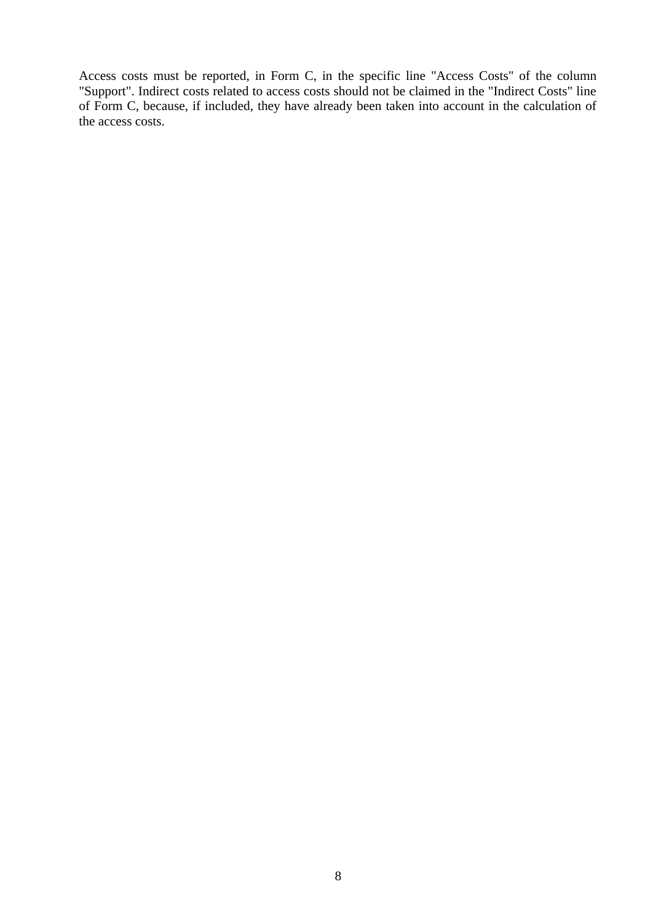Access costs must be reported, in Form C, in the specific line "Access Costs" of the column "Support". Indirect costs related to access costs should not be claimed in the "Indirect Costs" line of Form C, because, if included, they have already been taken into account in the calculation of the access costs.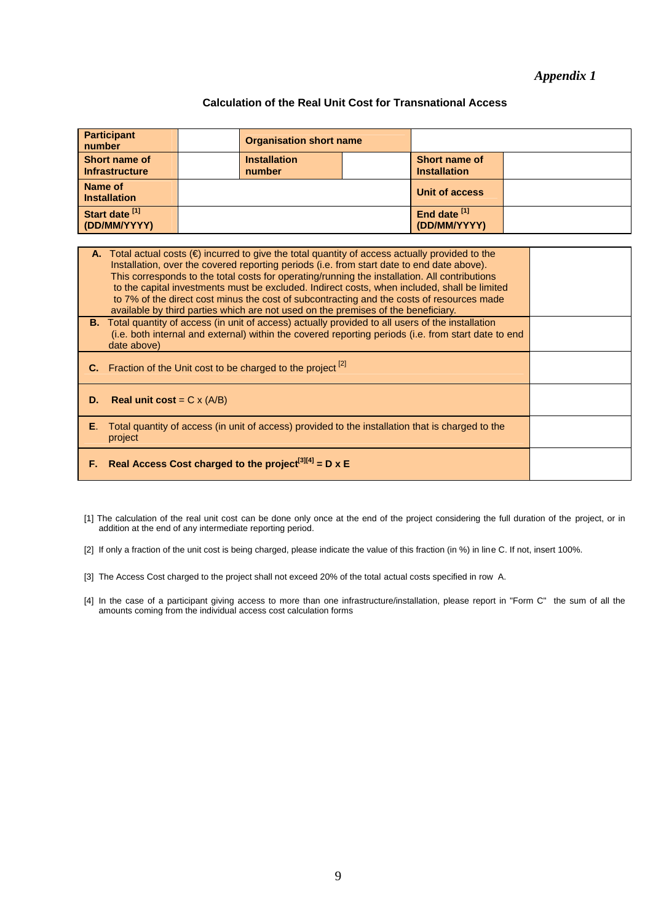## *Appendix 1*

#### **Calculation of the Real Unit Cost for Transnational Access**

| Participant<br>number                  | <b>Organisation short name</b> |  |                                             |  |
|----------------------------------------|--------------------------------|--|---------------------------------------------|--|
| Short name of<br><b>Infrastructure</b> | <b>Installation</b><br>number  |  | <b>Short name of</b><br><b>Installation</b> |  |
| Name of<br><b>Installation</b>         |                                |  | Unit of access                              |  |
| Start date [1]<br>(DD/MM/YYYY)         |                                |  | End date <sup>[1]</sup><br>(DD/MM/YYYY)     |  |

| А.   | Total actual costs ( $\epsilon$ ) incurred to give the total quantity of access actually provided to the<br>Installation, over the covered reporting periods (i.e. from start date to end date above).<br>This corresponds to the total costs for operating/running the installation. All contributions<br>to the capital investments must be excluded. Indirect costs, when included, shall be limited<br>to 7% of the direct cost minus the cost of subcontracting and the costs of resources made<br>available by third parties which are not used on the premises of the beneficiary. |  |
|------|-------------------------------------------------------------------------------------------------------------------------------------------------------------------------------------------------------------------------------------------------------------------------------------------------------------------------------------------------------------------------------------------------------------------------------------------------------------------------------------------------------------------------------------------------------------------------------------------|--|
|      | B. Total quantity of access (in unit of access) actually provided to all users of the installation<br>(i.e. both internal and external) within the covered reporting periods (i.e. from start date to end<br>date above)                                                                                                                                                                                                                                                                                                                                                                  |  |
|      | Fraction of the Unit cost to be charged to the project <sup>[2]</sup>                                                                                                                                                                                                                                                                                                                                                                                                                                                                                                                     |  |
| D.   | <b>Real unit cost</b> = $C \times (A/B)$                                                                                                                                                                                                                                                                                                                                                                                                                                                                                                                                                  |  |
| Е.   | Total quantity of access (in unit of access) provided to the installation that is charged to the<br>project                                                                                                                                                                                                                                                                                                                                                                                                                                                                               |  |
| F. . | Real Access Cost charged to the project <sup>[3][4]</sup> = D x E                                                                                                                                                                                                                                                                                                                                                                                                                                                                                                                         |  |

[1] The calculation of the real unit cost can be done only once at the end of the project considering the full duration of the project, or in addition at the end of any intermediate reporting period.

[2] If only a fraction of the unit cost is being charged, please indicate the value of this fraction (in %) in line C. If not, insert 100%.

[3] The Access Cost charged to the project shall not exceed 20% of the total actual costs specified in row A.

[4] In the case of a participant giving access to more than one infrastructure/installation, please report in "Form C" the sum of all the amounts coming from the individual access cost calculation forms